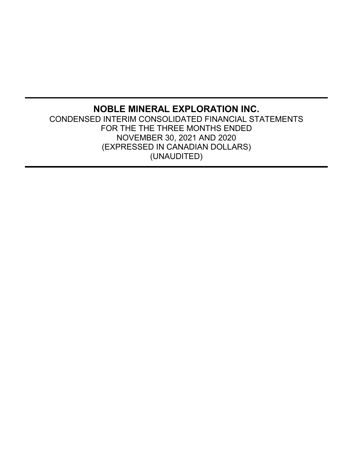# **NOBLE MINERAL EXPLORATION INC.** CONDENSED INTERIM CONSOLIDATED FINANCIAL STATEMENTS FOR THE THE THREE MONTHS ENDED NOVEMBER 30, 2021 AND 2020 (EXPRESSED IN CANADIAN DOLLARS) (UNAUDITED)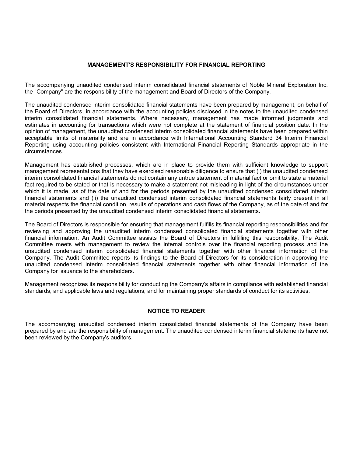# **MANAGEMENT'S RESPONSIBILITY FOR FINANCIAL REPORTING**

The accompanying unaudited condensed interim consolidated financial statements of Noble Mineral Exploration Inc. the "Company" are the responsibility of the management and Board of Directors of the Company.

The unaudited condensed interim consolidated financial statements have been prepared by management, on behalf of the Board of Directors, in accordance with the accounting policies disclosed in the notes to the unaudited condensed interim consolidated financial statements. Where necessary, management has made informed judgments and estimates in accounting for transactions which were not complete at the statement of financial position date. In the opinion of management, the unaudited condensed interim consolidated financial statements have been prepared within acceptable limits of materiality and are in accordance with International Accounting Standard 34 Interim Financial Reporting using accounting policies consistent with International Financial Reporting Standards appropriate in the circumstances.

Management has established processes, which are in place to provide them with sufficient knowledge to support management representations that they have exercised reasonable diligence to ensure that (i) the unaudited condensed interim consolidated financial statements do not contain any untrue statement of material fact or omit to state a material fact required to be stated or that is necessary to make a statement not misleading in light of the circumstances under which it is made, as of the date of and for the periods presented by the unaudited condensed consolidated interim financial statements and (ii) the unaudited condensed interim consolidated financial statements fairly present in all material respects the financial condition, results of operations and cash flows of the Company, as of the date of and for the periods presented by the unaudited condensed interim consolidated financial statements.

The Board of Directors is responsible for ensuring that management fulfills its financial reporting responsibilities and for reviewing and approving the unaudited interim condensed consolidated financial statements together with other financial information. An Audit Committee assists the Board of Directors in fulfilling this responsibility. The Audit Committee meets with management to review the internal controls over the financial reporting process and the unaudited condensed interim consolidated financial statements together with other financial information of the Company. The Audit Committee reports its findings to the Board of Directors for its consideration in approving the unaudited condensed interim consolidated financial statements together with other financial information of the Company for issuance to the shareholders.

Management recognizes its responsibility for conducting the Company's affairs in compliance with established financial standards, and applicable laws and regulations, and for maintaining proper standards of conduct for its activities.

### **NOTICE TO READER**

The accompanying unaudited condensed interim consolidated financial statements of the Company have been prepared by and are the responsibility of management. The unaudited condensed interim financial statements have not been reviewed by the Company's auditors.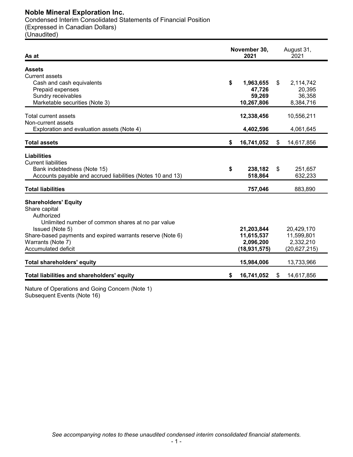# **Noble Mineral Exploration Inc.**

Condensed Interim Consolidated Statements of Financial Position (Expressed in Canadian Dollars) (Unaudited)

| As at                                                                                                                                                                                                                                        | November 30,<br>2021 |                                                         | August 31,<br>2021 |                                                         |
|----------------------------------------------------------------------------------------------------------------------------------------------------------------------------------------------------------------------------------------------|----------------------|---------------------------------------------------------|--------------------|---------------------------------------------------------|
| <b>Assets</b><br><b>Current assets</b><br>Cash and cash equivalents                                                                                                                                                                          | \$                   | 1,963,655                                               | \$                 | 2,114,742                                               |
| Prepaid expenses<br>Sundry receivables<br>Marketable securities (Note 3)                                                                                                                                                                     |                      | 47,726<br>59,269<br>10,267,806                          |                    | 20,395<br>36,358<br>8,384,716                           |
| Total current assets<br>Non-current assets                                                                                                                                                                                                   |                      | 12,338,456                                              |                    | 10,556,211                                              |
| Exploration and evaluation assets (Note 4)                                                                                                                                                                                                   |                      | 4,402,596                                               |                    | 4,061,645                                               |
| <b>Total assets</b>                                                                                                                                                                                                                          | \$                   | 16,741,052                                              | \$                 | 14,617,856                                              |
| <b>Liabilities</b><br><b>Current liabilities</b><br>Bank indebtedness (Note 15)<br>Accounts payable and accrued liabilities (Notes 10 and 13)                                                                                                | \$                   | 238,182<br>518,864                                      | \$                 | 251,657<br>632,233                                      |
| <b>Total liabilities</b>                                                                                                                                                                                                                     |                      | 757,046                                                 |                    | 883,890                                                 |
| <b>Shareholders' Equity</b><br>Share capital<br>Authorized<br>Unlimited number of common shares at no par value<br>Issued (Note 5)<br>Share-based payments and expired warrants reserve (Note 6)<br>Warrants (Note 7)<br>Accumulated deficit |                      | 21,203,844<br>11,615,537<br>2,096,200<br>(18, 931, 575) |                    | 20,429,170<br>11,599,801<br>2,332,210<br>(20, 627, 215) |
| <b>Total shareholders' equity</b>                                                                                                                                                                                                            |                      | 15,984,006                                              |                    | 13,733,966                                              |
| Total liabilities and shareholders' equity                                                                                                                                                                                                   | S.                   | 16,741,052                                              | S                  | 14,617,856                                              |

Nature of Operations and Going Concern (Note 1) Subsequent Events (Note 16)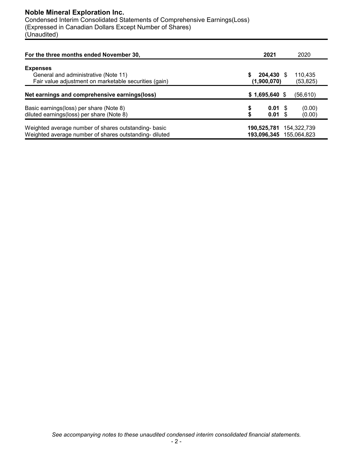# **Noble Mineral Exploration Inc.**

Condensed Interim Consolidated Statements of Comprehensive Earnings(Loss) (Expressed in Canadian Dollars Except Number of Shares) (Unaudited)

| For the three months ended November 30,                                                                      | 2021                                           | 2020                       |
|--------------------------------------------------------------------------------------------------------------|------------------------------------------------|----------------------------|
| <b>Expenses</b><br>General and administrative (Note 11)                                                      | 204.430 \$                                     | 110,435                    |
| Fair value adjustment on marketable securities (gain)                                                        | (1,900,070)                                    | (53, 825)                  |
| Net earnings and comprehensive earnings (loss)                                                               | $$1,695,640$ \$                                | (56, 610)                  |
| Basic earnings (loss) per share (Note 8)<br>diluted earnings(loss) per share (Note 8)                        | \$<br>$0.01 \text{ }$ \$<br>$0.01 \text{ }$ \$ | (0.00)<br>(0.00)           |
| Weighted average number of shares outstanding-basic<br>Weighted average number of shares outstanding-diluted | 190,525,781<br>193,096,345                     | 154,322,739<br>155.064.823 |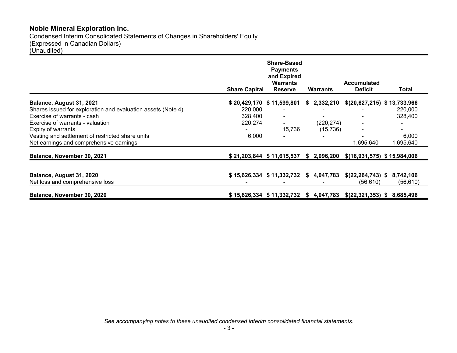# **Noble Mineral Exploration Inc.**

Condensed Interim Consolidated Statements of Changes in Shareholders' Equity (Expressed in Canadian Dollars)

(Unaudited)

|                                                                                             | <b>Share Capital</b> | <b>Share-Based</b><br><b>Payments</b><br>and Expired<br><b>Warrants</b><br><b>Reserve</b> | <b>Warrants</b>                       | <b>Accumulated</b><br><b>Deficit</b> | Total              |
|---------------------------------------------------------------------------------------------|----------------------|-------------------------------------------------------------------------------------------|---------------------------------------|--------------------------------------|--------------------|
| Balance, August 31, 2021                                                                    |                      | $$20,429,170$ $$11,599,801$                                                               | \$2,332,210                           | \$(20,627,215) \$13,733,966          |                    |
| Shares issued for exploration and evaluation assets (Note 4)                                | 220,000              |                                                                                           |                                       |                                      | 220,000            |
| Exercise of warrants - cash                                                                 | 328,400              |                                                                                           |                                       |                                      | 328,400            |
| Exercise of warrants - valuation                                                            | 220,274              | $\sim$                                                                                    | (220, 274)                            |                                      |                    |
| Expiry of warrants                                                                          |                      | 15,736                                                                                    | (15, 736)                             | $\blacksquare$                       | $\blacksquare$     |
| Vesting and settlement of restricted share units<br>Net earnings and comprehensive earnings | 6,000                |                                                                                           |                                       | 1,695,640                            | 6,000<br>1,695,640 |
| Balance, November 30, 2021                                                                  |                      | \$21,203,844 \$11,615,537                                                                 | \$2,096,200                           | $$(18,931,575)$ $$15,984,006$        |                    |
|                                                                                             |                      |                                                                                           |                                       |                                      |                    |
| Balance, August 31, 2020                                                                    |                      | \$15,626,334 \$11,332,732 \$4,047,783                                                     |                                       | $$(22,264,743)$ \$                   | 8,742,106          |
| Net loss and comprehensive loss                                                             |                      |                                                                                           |                                       | (56,610)                             | (56, 610)          |
| Balance, November 30, 2020                                                                  |                      |                                                                                           | \$15,626,334 \$11,332,732 \$4,047,783 | \$(22,321,353) \$8,685,496           |                    |

*See accompanying notes to these unaudited condensed interim consolidated financial statements.*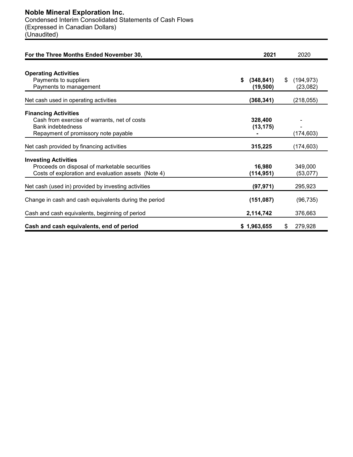| For the Three Months Ended November 30,                                                                                                         | 2021                          | 2020                          |
|-------------------------------------------------------------------------------------------------------------------------------------------------|-------------------------------|-------------------------------|
| <b>Operating Activities</b><br>Payments to suppliers<br>Payments to management                                                                  | \$<br>(348, 841)<br>(19, 500) | (194, 973)<br>\$.<br>(23,082) |
| Net cash used in operating activities                                                                                                           | (368, 341)                    | (218, 055)                    |
| <b>Financing Activities</b><br>Cash from exercise of warrants, net of costs<br><b>Bank indebtedness</b><br>Repayment of promissory note payable | 328,400<br>(13, 175)          | (174, 603)                    |
| Net cash provided by financing activities                                                                                                       | 315,225                       | (174, 603)                    |
| <b>Investing Activities</b><br>Proceeds on disposal of marketable securities<br>Costs of exploration and evaluation assets (Note 4)             | 16,980<br>(114, 951)          | 349,000<br>(53,077)           |
| Net cash (used in) provided by investing activities                                                                                             | (97, 971)                     | 295,923                       |
| Change in cash and cash equivalents during the period                                                                                           | (151, 087)                    | (96, 735)                     |
| Cash and cash equivalents, beginning of period                                                                                                  | 2,114,742                     | 376,663                       |
| Cash and cash equivalents, end of period                                                                                                        | \$1,963,655                   | \$<br>279,928                 |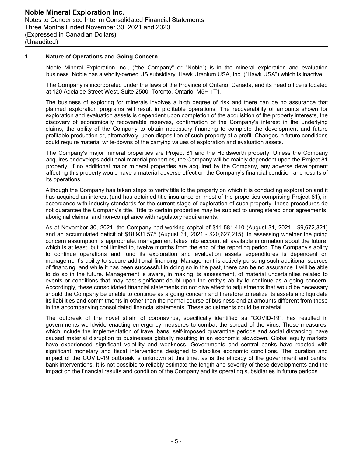### **1. Nature of Operations and Going Concern**

Noble Mineral Exploration Inc., ("the Company" or "Noble") is in the mineral exploration and evaluation business. Noble has a wholly-owned US subsidiary, Hawk Uranium USA, Inc. ("Hawk USA") which is inactive.

The Company is incorporated under the laws of the Province of Ontario, Canada, and its head office is located at 120 Adelaide Street West, Suite 2500, Toronto, Ontario, M5H 1T1.

The business of exploring for minerals involves a high degree of risk and there can be no assurance that planned exploration programs will result in profitable operations. The recoverability of amounts shown for exploration and evaluation assets is dependent upon completion of the acquisition of the property interests, the discovery of economically recoverable reserves, confirmation of the Company's interest in the underlying claims, the ability of the Company to obtain necessary financing to complete the development and future profitable production or, alternatively, upon disposition of such property at a profit. Changes in future conditions could require material write-downs of the carrying values of exploration and evaluation assets.

The Company's major mineral properties are Project 81 and the Holdsworth property. Unless the Company acquires or develops additional material properties, the Company will be mainly dependent upon the Project 81 property. If no additional major mineral properties are acquired by the Company, any adverse development affecting this property would have a material adverse effect on the Company's financial condition and results of its operations.

Although the Company has taken steps to verify title to the property on which it is conducting exploration and it has acquired an interest (and has obtained title insurance on most of the properties comprising Project 81), in accordance with industry standards for the current stage of exploration of such property, these procedures do not guarantee the Company's title. Title to certain properties may be subject to unregistered prior agreements, aboriginal claims, and non-compliance with regulatory requirements.

As at November 30, 2021, the Company had working capital of \$11,581,410 (August 31, 2021 - \$9,672,321) and an accumulated deficit of \$18,931,575 (August 31, 2021 - \$20,627,215). In assessing whether the going concern assumption is appropriate, management takes into account all available information about the future, which is at least, but not limited to, twelve months from the end of the reporting period. The Company's ability to continue operations and fund its exploration and evaluation assets expenditures is dependent on management's ability to secure additional financing. Management is actively pursuing such additional sources of financing, and while it has been successful in doing so in the past, there can be no assurance it will be able to do so in the future. Management is aware, in making its assessment, of material uncertainties related to events or conditions that may cast significant doubt upon the entity's ability to continue as a going concern. Accordingly, these consolidated financial statements do not give effect to adjustments that would be necessary should the Company be unable to continue as a going concern and therefore to realize its assets and liquidate its liabilities and commitments in other than the normal course of business and at amounts different from those in the accompanying consolidated financial statements. These adjustments could be material.

The outbreak of the novel strain of coronavirus, specifically identified as "COVID-19", has resulted in governments worldwide enacting emergency measures to combat the spread of the virus. These measures, which include the implementation of travel bans, self-imposed quarantine periods and social distancing, have caused material disruption to businesses globally resulting in an economic slowdown. Global equity markets have experienced significant volatility and weakness. Governments and central banks have reacted with significant monetary and fiscal interventions designed to stabilize economic conditions. The duration and impact of the COVID-19 outbreak is unknown at this time, as is the efficacy of the government and central bank interventions. It is not possible to reliably estimate the length and severity of these developments and the impact on the financial results and condition of the Company and its operating subsidiaries in future periods.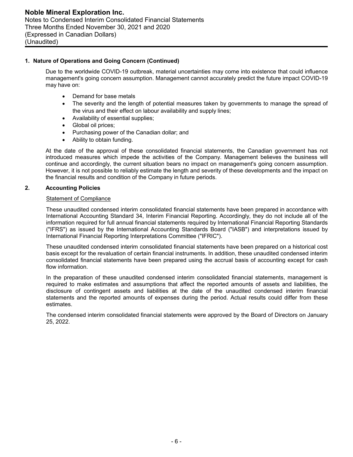## **1. Nature of Operations and Going Concern (Continued)**

Due to the worldwide COVID-19 outbreak, material uncertainties may come into existence that could influence management's going concern assumption. Management cannot accurately predict the future impact COVID-19 may have on:

- Demand for base metals
- The severity and the length of potential measures taken by governments to manage the spread of the virus and their effect on labour availability and supply lines;
- Availability of essential supplies;
- Global oil prices:
- Purchasing power of the Canadian dollar; and
- Ability to obtain funding.

At the date of the approval of these consolidated financial statements, the Canadian government has not introduced measures which impede the activities of the Company. Management believes the business will continue and accordingly, the current situation bears no impact on management's going concern assumption. However, it is not possible to reliably estimate the length and severity of these developments and the impact on the financial results and condition of the Company in future periods.

### **2. Accounting Policies**

### Statement of Compliance

These unaudited condensed interim consolidated financial statements have been prepared in accordance with International Accounting Standard 34, Interim Financial Reporting. Accordingly, they do not include all of the information required for full annual financial statements required by International Financial Reporting Standards ("IFRS") as issued by the International Accounting Standards Board ("IASB") and interpretations issued by International Financial Reporting Interpretations Committee ("IFRIC").

These unaudited condensed interim consolidated financial statements have been prepared on a historical cost basis except for the revaluation of certain financial instruments. In addition, these unaudited condensed interim consolidated financial statements have been prepared using the accrual basis of accounting except for cash flow information.

In the preparation of these unaudited condensed interim consolidated financial statements, management is required to make estimates and assumptions that affect the reported amounts of assets and liabilities, the disclosure of contingent assets and liabilities at the date of the unaudited condensed interim financial statements and the reported amounts of expenses during the period. Actual results could differ from these estimates.

The condensed interim consolidated financial statements were approved by the Board of Directors on January 25, 2022.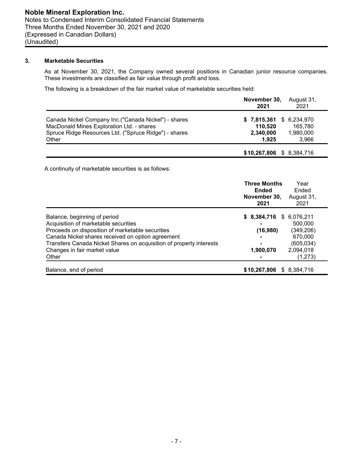# **3. Marketable Securities**

As at November 30, 2021, the Company owned several positions in Canadian junior resource companies. These investments are classified as fair value through profit and loss.

The following is a breakdown of the fair market value of marketable securities held:

|                                                       | November 30,<br>2021     | August 31,<br>2021 |
|-------------------------------------------------------|--------------------------|--------------------|
| Canada Nickel Company Inc. ("Canada Nickel") - shares | \$7,815,361              | \$ 6,234,970       |
| MacDonald Mines Exploration Ltd. - shares             | 110.520                  | 165.780            |
| Spruce Ridge Resources Ltd. ("Spruce Ridge") - shares | 2,340,000                | 1,980,000          |
| Other                                                 | 1.925                    | 3,966              |
|                                                       | \$10,267,806 \$8,384,716 |                    |

A continuity of marketable securities is as follows:

|                                                                     | <b>Three Months</b><br><b>Ended</b><br>November 30,<br>2021 | Year<br>Ended<br>August 31,<br>2021 |
|---------------------------------------------------------------------|-------------------------------------------------------------|-------------------------------------|
| Balance, beginning of period                                        | \$8,384,716                                                 | \$6,076,211                         |
| Acquisition of marketable securities                                |                                                             | 500.000                             |
| Proceeds on disposition of marketable securities                    | (16,980)                                                    | (349, 206)                          |
| Canada Nickel shares received on option agreement                   |                                                             | 670,000                             |
| Transfers Canada Nickel Shares on acquisition of property interests |                                                             | (605, 034)                          |
| Changes in fair market value                                        | 1,900,070                                                   | 2,094,018                           |
| Other                                                               |                                                             | (1,273)                             |
| Balance, end of period                                              | \$10,267,806                                                | \$ 8,384,716                        |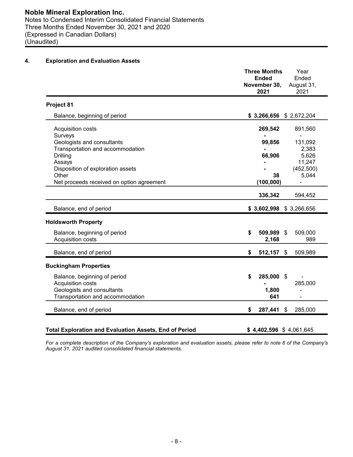# **4. Exploration and Evaluation Assets**

| November 30,<br>2021 | August 31,<br>2021                                                                                 |
|----------------------|----------------------------------------------------------------------------------------------------|
|                      |                                                                                                    |
|                      |                                                                                                    |
| 269,542              | 891,560                                                                                            |
| 99,856<br>66,906     | 131,092<br>2,383<br>5,626<br>11,247                                                                |
| 38<br>(100, 000)     | (452, 500)<br>5,044<br>÷.                                                                          |
| 336,342              | 594,452                                                                                            |
|                      |                                                                                                    |
|                      |                                                                                                    |
| \$<br>2,168          | 509,000<br>989                                                                                     |
| \$                   | 509,989                                                                                            |
|                      |                                                                                                    |
| \$<br>1,800<br>641   | 285,000                                                                                            |
| \$<br>287,441        | $\boldsymbol{\mathsf{S}}$<br>285,000                                                               |
|                      | $$3,266,656$ $$2,672,204$<br>$$3,602,998$ $$3,266,656$<br>509,989 \$<br>$512,157$ \$<br>285,000 \$ |

*For a complete description of the Company's exploration and evaluation assets, please refer to note 6 of the Company's August 31, 2021 audited consolidated financial statements.*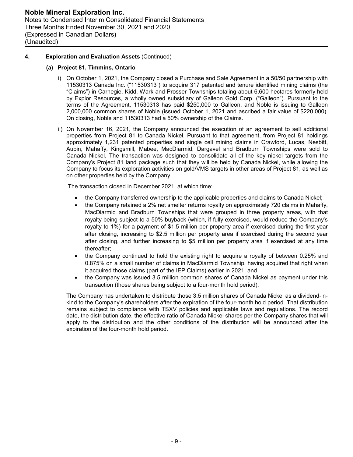# **4. Exploration and Evaluation Assets** (Continued)

## **(a) Project 81, Timmins, Ontario**

- i) On October 1, 2021, the Company closed a Purchase and Sale Agreement in a 50/50 partnership with 11530313 Canada Inc. ("11530313") to acquire 317 patented and tenure identified mining claims (the "Claims") in Carnegie, Kidd, Wark and Prosser Townships totaling about 6,600 hectares formerly held by Explor Resources, a wholly owned subsidiary of Galleon Gold Corp. ("Galleon"). Pursuant to the terms of the Agreement, 11530313 has paid \$250,000 to Galleon, and Noble is issuing to Galleon 2,000,000 common shares of Noble (issued October 1, 2021 and ascribed a fair value of \$220,000). On closing, Noble and 11530313 had a 50% ownership of the Claims.
- ii) On November 16, 2021, the Company announced the execution of an agreement to sell additional properties from Project 81 to Canada Nickel. Pursuant to that agreement, from Project 81 holdings approximately 1,231 patented properties and single cell mining claims in Crawford, Lucas, Nesbitt, Aubin, Mahaffy, Kingsmill, Mabee, MacDiarmid, Dargavel and Bradburn Townships were sold to Canada Nickel. The transaction was designed to consolidate all of the key nickel targets from the Company's Project 81 land package such that they will be held by Canada Nickel, while allowing the Company to focus its exploration activities on gold/VMS targets in other areas of Project 81, as well as on other properties held by the Company.

The transaction closed in December 2021, at which time:

- the Company transferred ownership to the applicable properties and claims to Canada Nickel;
- the Company retained a 2% net smelter returns royalty on approximately 720 claims in Mahaffy, MacDiarmid and Bradburn Townships that were grouped in three property areas, with that royalty being subject to a 50% buyback (which, if fully exercised, would reduce the Company's royalty to 1%) for a payment of \$1.5 million per property area if exercised during the first year after closing, increasing to \$2.5 million per property area if exercised during the second year after closing, and further increasing to \$5 million per property area if exercised at any time thereafter;
- the Company continued to hold the existing right to acquire a royalty of between 0.25% and 0.875% on a small number of claims in MacDiarmid Township, having acquired that right when it acquired those claims (part of the IEP Claims) earlier in 2021; and
- the Company was issued 3.5 million common shares of Canada Nickel as payment under this transaction (those shares being subject to a four-month hold period).

The Company has undertaken to distribute those 3.5 million shares of Canada Nickel as a dividend-inkind to the Company's shareholders after the expiration of the four-month hold period. That distribution remains subject to compliance with TSXV policies and applicable laws and regulations. The record date, the distribution date, the effective ratio of Canada Nickel shares per the Company shares that will apply to the distribution and the other conditions of the distribution will be announced after the expiration of the four-month hold period.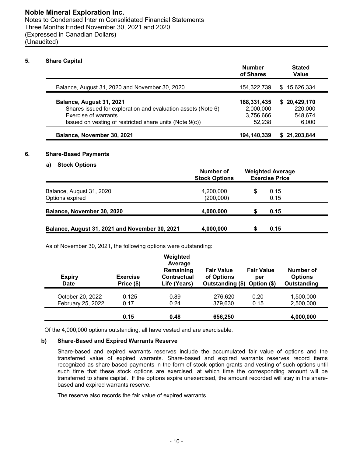### **5. Share Capital**

|                                                              | <b>Number</b><br>of Shares | <b>Stated</b><br>Value |
|--------------------------------------------------------------|----------------------------|------------------------|
| Balance, August 31, 2020 and November 30, 2020               | 154,322,739                | \$15,626,334           |
| Balance, August 31, 2021                                     | 188,331,435                | \$20,429,170           |
| Shares issued for exploration and evaluation assets (Note 6) | 2,000,000                  | 220,000                |
| Exercise of warrants                                         | 3,756,666                  | 548.674                |
| Issued on vesting of restricted share units (Note 9(c))      | 52.238                     | 6,000                  |
| Balance, November 30, 2021                                   | 194,140,339                | \$21,203,844           |

# **6. Share-Based Payments**

# **a) Stock Options**

|                                                | Number of<br><b>Stock Options</b> |   | <b>Weighted Average</b><br><b>Exercise Price</b> |  |
|------------------------------------------------|-----------------------------------|---|--------------------------------------------------|--|
| Balance, August 31, 2020<br>Options expired    | 4,200,000<br>(200,000)            | S | 0.15<br>0.15                                     |  |
| Balance, November 30, 2020                     | 4,000,000                         |   | 0.15                                             |  |
| Balance, August 31, 2021 and November 30, 2021 | 4,000,000                         |   | 0.15                                             |  |

As of November 30, 2021, the following options were outstanding:

| <b>Expiry</b><br><b>Date</b>          | <b>Exercise</b><br>Price (\$) | Weighted<br>Average<br>Remaining<br>Contractual<br>Life (Years) | <b>Fair Value</b><br>of Options<br>Outstanding (\$) Option (\$) | <b>Fair Value</b><br>per | Number of<br><b>Options</b><br><b>Outstanding</b> |
|---------------------------------------|-------------------------------|-----------------------------------------------------------------|-----------------------------------------------------------------|--------------------------|---------------------------------------------------|
| October 20, 2022<br>February 25, 2022 | 0.125<br>0.17                 | 0.89<br>0.24                                                    | 276.620<br>379,630                                              | 0.20<br>0.15             | 1,500,000<br>2,500,000                            |
|                                       | 0.15                          | 0.48                                                            | 656,250                                                         |                          | 4,000,000                                         |

Of the 4,000,000 options outstanding, all have vested and are exercisable.

### **b) Share-Based and Expired Warrants Reserve**

Share-based and expired warrants reserves include the accumulated fair value of options and the transferred value of expired warrants. Share-based and expired warrants reserves record items recognized as share-based payments in the form of stock option grants and vesting of such options until such time that these stock options are exercised, at which time the corresponding amount will be transferred to share capital. If the options expire unexercised, the amount recorded will stay in the sharebased and expired warrants reserve.

The reserve also records the fair value of expired warrants.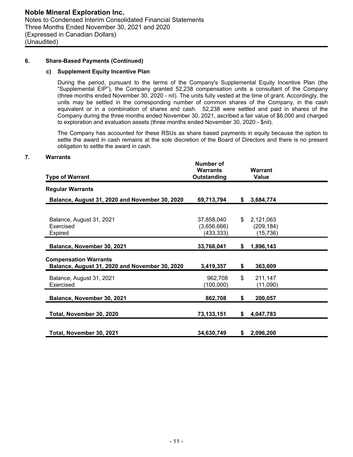#### **6. Share-Based Payments (Continued)**

#### **c) Supplement Equity Incentive Plan**

During the period, pursuant to the terms of the Company's Supplemental Equity Incentive Plan (the "Supplemental EIP"), the Company granted 52,238 compensation units a consultant of the Company (three months ended November 30, 2020 - nil). The units fully vested at the time of grant. Accordingly, the units may be settled in the corresponding number of common shares of the Company, in the cash equivalent or in a combination of shares and cash. 52,238 were settled and paid in shares of the Company during the three months ended November 30, 2021, ascribed a fair value of \$6,000 and charged to exploration and evaluation assets (three months ended November 30, 2020 - \$nil).

The Company has accounted for these RSUs as share based payments in equity because the option to settle the award in cash remains at the sole discretion of the Board of Directors and there is no present obligation to settle the award in cash.

#### **7. Warrants**

| <b>Type of Warrant</b>                                                         | Number of<br><b>Warrants</b><br>Outstanding | <b>Warrant</b><br><b>Value</b>             |  |
|--------------------------------------------------------------------------------|---------------------------------------------|--------------------------------------------|--|
| <b>Regular Warrants</b>                                                        |                                             |                                            |  |
| Balance, August 31, 2020 and November 30, 2020                                 | 69,713,794                                  | \$<br>3,684,774                            |  |
| Balance, August 31, 2021<br>Exercised<br>Expired                               | 37,858,040<br>(3,656,666)<br>(433, 333)     | \$<br>2,121,063<br>(209, 184)<br>(15, 736) |  |
| Balance, November 30, 2021                                                     | 33,768,041                                  | \$<br>1,896,143                            |  |
| <b>Compensation Warrants</b><br>Balance, August 31, 2020 and November 30, 2020 | 3,419,357                                   | \$<br>363,009                              |  |
| Balance, August 31, 2021<br>Exercised                                          | 962,708<br>(100,000)                        | \$<br>211,147<br>(11,090)                  |  |
| Balance, November 30, 2021                                                     | 862,708                                     | \$<br>200,057                              |  |
| Total, November 30, 2020                                                       | 73,133,151                                  | \$<br>4,047,783                            |  |
| Total, November 30, 2021                                                       | 34,630,749                                  | \$<br>2,096,200                            |  |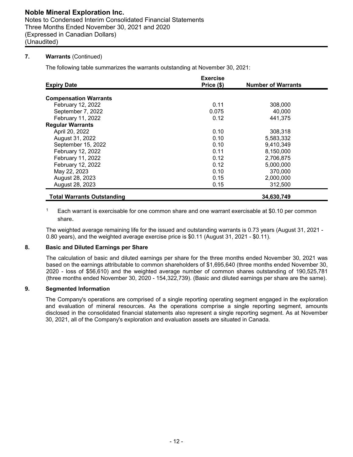# **7. Warrants** (Continued)

The following table summarizes the warrants outstanding at November 30, 2021:

| <b>Expiry Date</b>                | <b>Exercise</b><br>Price (\$) | <b>Number of Warrants</b> |
|-----------------------------------|-------------------------------|---------------------------|
|                                   |                               |                           |
| <b>Compensation Warrants</b>      |                               |                           |
| February 12, 2022                 | 0.11                          | 308,000                   |
| September 7, 2022                 | 0.075                         | 40,000                    |
| February 11, 2022                 | 0.12                          | 441,375                   |
| <b>Regular Warrants</b>           |                               |                           |
| April 20, 2022                    | 0.10                          | 308,318                   |
| August 31, 2022                   | 0.10                          | 5,583,332                 |
| September 15, 2022                | 0.10                          | 9,410,349                 |
| February 12, 2022                 | 0.11                          | 8,150,000                 |
| February 11, 2022                 | 0.12                          | 2,706,875                 |
| February 12, 2022                 | 0.12                          | 5,000,000                 |
| May 22, 2023                      | 0.10                          | 370,000                   |
| August 28, 2023                   | 0.15                          | 2,000,000                 |
| August 28, 2023                   | 0.15                          | 312,500                   |
| <b>Total Warrants Outstanding</b> |                               | 34,630,749                |

Each warrant is exercisable for one common share and one warrant exercisable at \$0.10 per common share.

The weighted average remaining life for the issued and outstanding warrants is 0.73 years (August 31, 2021 - 0.80 years), and the weighted average exercise price is \$0.11 (August 31, 2021 - \$0.11).

# **8. Basic and Diluted Earnings per Share**

The calculation of basic and diluted earnings per share for the three months ended November 30, 2021 was based on the earnings attributable to common shareholders of \$1,695,640 (three months ended November 30, 2020 - loss of \$56,610) and the weighted average number of common shares outstanding of 190,525,781 (three months ended November 30, 2020 - 154,322,739). (Basic and diluted earnings per share are the same).

# **9. Segmented Information**

The Company's operations are comprised of a single reporting operating segment engaged in the exploration and evaluation of mineral resources. As the operations comprise a single reporting segment, amounts disclosed in the consolidated financial statements also represent a single reporting segment. As at November 30, 2021, all of the Company's exploration and evaluation assets are situated in Canada.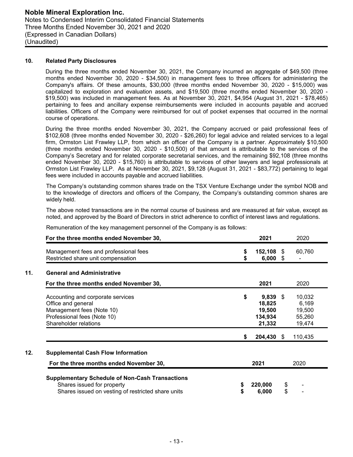#### **10. Related Party Disclosures**

During the three months ended November 30, 2021, the Company incurred an aggregate of \$49,500 (three months ended November 30, 2020 - \$34,500) in management fees to three officers for administering the Company's affairs. Of these amounts, \$30,000 (three months ended November 30, 2020 - \$15,000) was capitalized to exploration and evaluation assets, and \$19,500 (three months ended November 30, 2020 - \$19,500) was included in management fees. As at November 30, 2021, \$4,954 (August 31, 2021 - \$78,465) pertaining to fees and ancillary expense reimbursements were included in accounts payable and accrued liabilities. Officers of the Company were reimbursed for out of pocket expenses that occurred in the normal course of operations.

During the three months ended November 30, 2021, the Company accrued or paid professional fees of \$102,608 (three months ended November 30, 2020 - \$26,260) for legal advice and related services to a legal firm, Ormston List Frawley LLP, from which an officer of the Company is a partner. Approximately \$10,500 (three months ended November 30, 2020 - \$10,500) of that amount is attributable to the services of the Company's Secretary and for related corporate secretarial services, and the remaining \$92,108 (three months ended November 30, 2020 - \$15,760) is attributable to services of other lawyers and legal professionals at Ormston List Frawley LLP. As at November 30, 2021, \$9,128 (August 31, 2021 - \$83,772) pertaining to legal fees were included in accounts payable and accrued liabilities.

The Company's outstanding common shares trade on the TSX Venture Exchange under the symbol NOB and to the knowledge of directors and officers of the Company, the Company's outstanding common shares are widely held.

The above noted transactions are in the normal course of business and are measured at fair value, except as noted, and approved by the Board of Directors in strict adherence to conflict of interest laws and regulations.

| For the three months ended November 30,                                     |    | 2021             |     | 2020    |
|-----------------------------------------------------------------------------|----|------------------|-----|---------|
| Management fees and professional fees<br>Restricted share unit compensation | \$ | 152,108<br>6,000 | - S | 60,760  |
| <b>General and Administrative</b>                                           |    |                  |     |         |
| For the three months ended November 30,                                     |    | 2021             |     | 2020    |
| Accounting and corporate services                                           | \$ | 9,839            | -S  | 10,032  |
| Office and general                                                          |    | 18,825           |     | 6,169   |
| Management fees (Note 10)                                                   |    | 19,500           |     | 19,500  |
| Professional fees (Note 10)                                                 |    | 134,934          |     | 55,260  |
| Shareholder relations                                                       |    | 21,332           |     | 19,474  |
|                                                                             | S  | 204,430 \$       |     | 110,435 |
| <b>Supplemental Cash Flow Information</b>                                   |    |                  |     |         |
| For the three months ended November 30,                                     |    | 2021             |     | 2020    |

Remuneration of the key management personnel of the Company is as follows: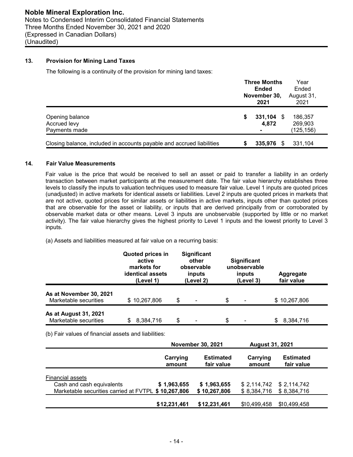# **13. Provision for Mining Land Taxes**

The following is a continuity of the provision for mining land taxes:

|                                                                       |   | <b>Three Months</b><br><b>Ended</b><br>November 30,<br>2021 | Year<br>Ended<br>August 31,<br>2021 |
|-----------------------------------------------------------------------|---|-------------------------------------------------------------|-------------------------------------|
| Opening balance<br>Accrued levy<br>Payments made                      | S | $331,104$ \$<br>4,872                                       | 186,357<br>269,903<br>(125, 156)    |
| Closing balance, included in accounts payable and accrued liabilities |   | 335,976                                                     | 331,104                             |

#### **14. Fair Value Measurements**

Fair value is the price that would be received to sell an asset or paid to transfer a liability in an orderly transaction between market participants at the measurement date. The fair value hierarchy establishes three levels to classify the inputs to valuation techniques used to measure fair value. Level 1 inputs are quoted prices (unadjusted) in active markets for identical assets or liabilities. Level 2 inputs are quoted prices in markets that are not active, quoted prices for similar assets or liabilities in active markets, inputs other than quoted prices that are observable for the asset or liability, or inputs that are derived principally from or corroborated by observable market data or other means. Level 3 inputs are unobservable (supported by little or no market activity). The fair value hierarchy gives the highest priority to Level 1 inputs and the lowest priority to Level 3 inputs.

(a) Assets and liabilities measured at fair value on a recurring basis:

|                                                  | <b>Quoted prices in</b><br>active<br>markets for<br><b>identical assets</b><br>(Level 1) | <b>Significant</b><br>other<br>observable<br>inputs<br>(Level 2) | <b>Significant</b><br>unobservable<br>inputs<br>(Level 3) |                | Aggregate<br>fair value |
|--------------------------------------------------|------------------------------------------------------------------------------------------|------------------------------------------------------------------|-----------------------------------------------------------|----------------|-------------------------|
| As at November 30, 2021<br>Marketable securities | \$10,267,806                                                                             | \$                                                               | \$                                                        |                | \$10,267,806            |
| As at August 31, 2021<br>Marketable securities   | 8,384,716                                                                                | \$                                                               | \$                                                        | $\blacksquare$ | 8,384,716<br>S          |

(b) Fair values of financial assets and liabilities:

|                                                     | <b>November 30, 2021</b>       | <b>August 31, 2021</b> |                                |
|-----------------------------------------------------|--------------------------------|------------------------|--------------------------------|
| Carrying<br>amount                                  | <b>Estimated</b><br>fair value | Carrying<br>amount     | <b>Estimated</b><br>fair value |
|                                                     |                                |                        |                                |
| <b>Financial assets</b>                             |                                |                        |                                |
| Cash and cash equivalents<br>\$1,963,655            | \$1,963,655                    |                        | $$2,114,742$ $$2,114,742$      |
| Marketable securities carried at FVTPL \$10,267,806 | \$10,267,806                   | \$8,384,716            | \$8,384,716                    |
|                                                     |                                |                        |                                |
| \$12,231,461                                        | \$12,231,461                   | \$10,499,458           | \$10,499,458                   |